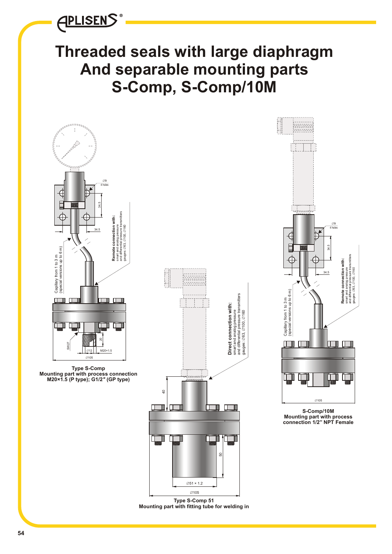**APLISENS**®

# **Threaded seals with large diaphragm And separable mounting parts S-Comp, S-Comp/10M**